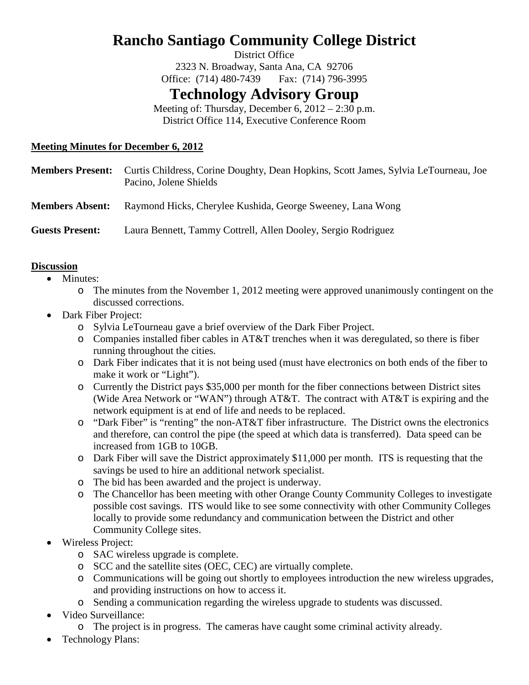# **Rancho Santiago Community College District**

District Office 2323 N. Broadway, Santa Ana, CA 92706 Office: (714) 480-7439 Fax: (714) 796-3995

## **Technology Advisory Group**

Meeting of: Thursday, December 6, 2012 – 2:30 p.m. District Office 114, Executive Conference Room

## **Meeting Minutes for December 6, 2012**

| <b>Members Present:</b> | Curtis Childress, Corine Doughty, Dean Hopkins, Scott James, Sylvia LeTourneau, Joe<br>Pacino, Jolene Shields |  |  |
|-------------------------|---------------------------------------------------------------------------------------------------------------|--|--|
| <b>Members Absent:</b>  | Raymond Hicks, Cherylee Kushida, George Sweeney, Lana Wong                                                    |  |  |
| <b>Guests Present:</b>  | Laura Bennett, Tammy Cottrell, Allen Dooley, Sergio Rodriguez                                                 |  |  |

## **Discussion**

- Minutes:
	- o The minutes from the November 1, 2012 meeting were approved unanimously contingent on the discussed corrections.
- Dark Fiber Project:
	- o Sylvia LeTourneau gave a brief overview of the Dark Fiber Project.
	- o Companies installed fiber cables in AT&T trenches when it was deregulated, so there is fiber running throughout the cities.
	- o Dark Fiber indicates that it is not being used (must have electronics on both ends of the fiber to make it work or "Light").
	- o Currently the District pays \$35,000 per month for the fiber connections between District sites (Wide Area Network or "WAN") through AT&T. The contract with AT&T is expiring and the network equipment is at end of life and needs to be replaced.
	- o "Dark Fiber" is "renting" the non-AT&T fiber infrastructure. The District owns the electronics and therefore, can control the pipe (the speed at which data is transferred). Data speed can be increased from 1GB to 10GB.
	- o Dark Fiber will save the District approximately \$11,000 per month. ITS is requesting that the savings be used to hire an additional network specialist.
	- o The bid has been awarded and the project is underway.
	- o The Chancellor has been meeting with other Orange County Community Colleges to investigate possible cost savings. ITS would like to see some connectivity with other Community Colleges locally to provide some redundancy and communication between the District and other Community College sites.
- Wireless Project:
	- o SAC wireless upgrade is complete.
	- o SCC and the satellite sites (OEC, CEC) are virtually complete.
	- o Communications will be going out shortly to employees introduction the new wireless upgrades, and providing instructions on how to access it.
	- o Sending a communication regarding the wireless upgrade to students was discussed.
- Video Surveillance:
	- o The project is in progress. The cameras have caught some criminal activity already.
- Technology Plans: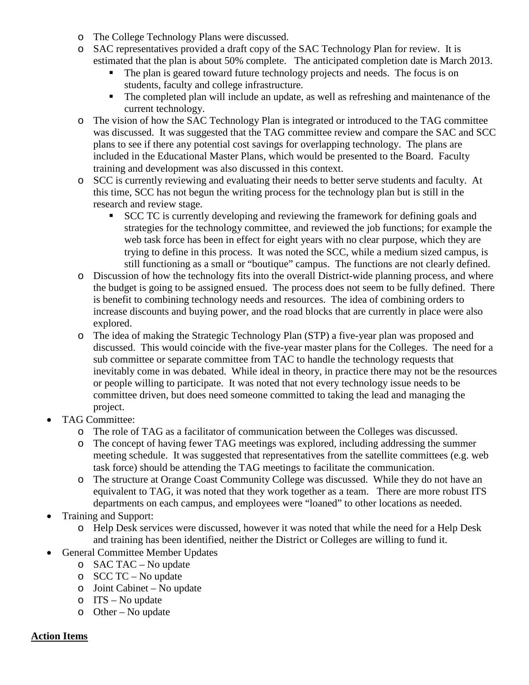- o The College Technology Plans were discussed.
- o SAC representatives provided a draft copy of the SAC Technology Plan for review. It is estimated that the plan is about 50% complete. The anticipated completion date is March 2013.
	- The plan is geared toward future technology projects and needs. The focus is on students, faculty and college infrastructure.
	- The completed plan will include an update, as well as refreshing and maintenance of the current technology.
- o The vision of how the SAC Technology Plan is integrated or introduced to the TAG committee was discussed. It was suggested that the TAG committee review and compare the SAC and SCC plans to see if there any potential cost savings for overlapping technology. The plans are included in the Educational Master Plans, which would be presented to the Board. Faculty training and development was also discussed in this context.
- o SCC is currently reviewing and evaluating their needs to better serve students and faculty. At this time, SCC has not begun the writing process for the technology plan but is still in the research and review stage.
	- SCC TC is currently developing and reviewing the framework for defining goals and strategies for the technology committee, and reviewed the job functions; for example the web task force has been in effect for eight years with no clear purpose, which they are trying to define in this process. It was noted the SCC, while a medium sized campus, is still functioning as a small or "boutique" campus. The functions are not clearly defined.
- o Discussion of how the technology fits into the overall District-wide planning process, and where the budget is going to be assigned ensued. The process does not seem to be fully defined. There is benefit to combining technology needs and resources. The idea of combining orders to increase discounts and buying power, and the road blocks that are currently in place were also explored.
- o The idea of making the Strategic Technology Plan (STP) a five-year plan was proposed and discussed. This would coincide with the five-year master plans for the Colleges. The need for a sub committee or separate committee from TAC to handle the technology requests that inevitably come in was debated. While ideal in theory, in practice there may not be the resources or people willing to participate. It was noted that not every technology issue needs to be committee driven, but does need someone committed to taking the lead and managing the project.
- TAG Committee:
	- o The role of TAG as a facilitator of communication between the Colleges was discussed.
	- o The concept of having fewer TAG meetings was explored, including addressing the summer meeting schedule. It was suggested that representatives from the satellite committees (e.g. web task force) should be attending the TAG meetings to facilitate the communication.
	- o The structure at Orange Coast Community College was discussed. While they do not have an equivalent to TAG, it was noted that they work together as a team. There are more robust ITS departments on each campus, and employees were "loaned" to other locations as needed.
- Training and Support:
	- o Help Desk services were discussed, however it was noted that while the need for a Help Desk and training has been identified, neither the District or Colleges are willing to fund it.
- General Committee Member Updates
	- o SAC TAC No update
	- o SCC TC No update
	- o Joint Cabinet No update
	- o ITS No update
	- o Other No update

### **Action Items**